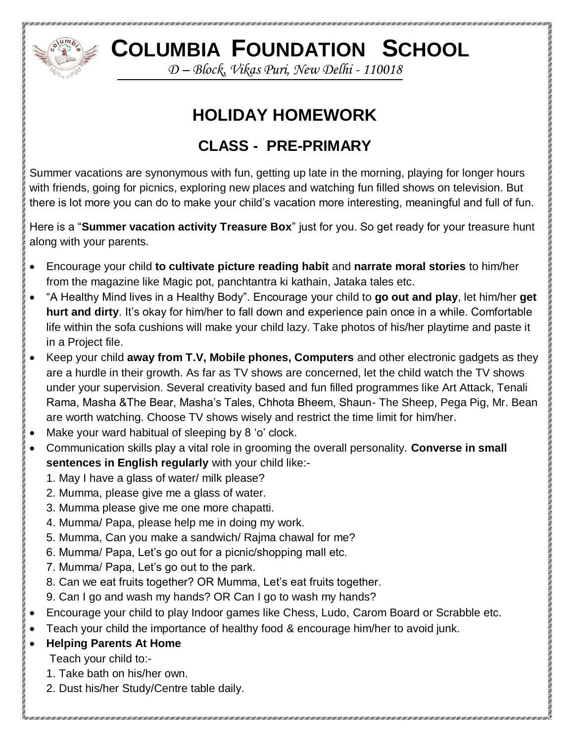

## **COLUMBIA FOUNDATION SCHOOL**

*D – Block, Vikas Puri, New Delhi - 110018*

## **HOLIDAY HOMEWORK**

## **CLASS - PRE-PRIMARY**

Summer vacations are synonymous with fun, getting up late in the morning, playing for longer hours with friends, going for picnics, exploring new places and watching fun filled shows on television. But there is lot more you can do to make your child's vacation more interesting, meaningful and full of fun.

Here is a "**Summer vacation activity Treasure Box**" just for you. So get ready for your treasure hunt along with your parents.

- Encourage your child **to cultivate picture reading habit** and **narrate moral stories** to him/her from the magazine like Magic pot, panchtantra ki kathain, Jataka tales etc.
- "A Healthy Mind lives in a Healthy Body". Encourage your child to **go out and play**, let him/her **get hurt and dirty**. It's okay for him/her to fall down and experience pain once in a while. Comfortable life within the sofa cushions will make your child lazy. Take photos of his/her playtime and paste it in a Project file.
- Keep your child **away from T.V, Mobile phones, Computers** and other electronic gadgets as they are a hurdle in their growth. As far as TV shows are concerned, let the child watch the TV shows under your supervision. Several creativity based and fun filled programmes like Art Attack, Tenali Rama, Masha &The Bear, Masha's Tales, Chhota Bheem, Shaun- The Sheep, Pega Pig, Mr. Bean are worth watching. Choose TV shows wisely and restrict the time limit for him/her.
- Make your ward habitual of sleeping by 8 'o' clock.
- Communication skills play a vital role in grooming the overall personality. **Converse in small sentences in English regularly** with your child like:-
	- 1. May I have a glass of water/ milk please?
	- 2. Mumma, please give me a glass of water.
	- 3. Mumma please give me one more chapatti.
	- 4. Mumma/ Papa, please help me in doing my work.
	- 5. Mumma, Can you make a sandwich/ Rajma chawal for me?
	- 6. Mumma/ Papa, Let's go out for a picnic/shopping mall etc.
	- 7. Mumma/ Papa, Let's go out to the park.
	- 8. Can we eat fruits together? OR Mumma, Let's eat fruits together.
	- 9. Can I go and wash my hands? OR Can I go to wash my hands?
- Encourage your child to play Indoor games like Chess, Ludo, Carom Board or Scrabble etc.
- Teach your child the importance of healthy food & encourage him/her to avoid junk.
- **Helping Parents At Home**
	- Teach your child to:-
	- 1. Take bath on his/her own.
	- 2. Dust his/her Study/Centre table daily.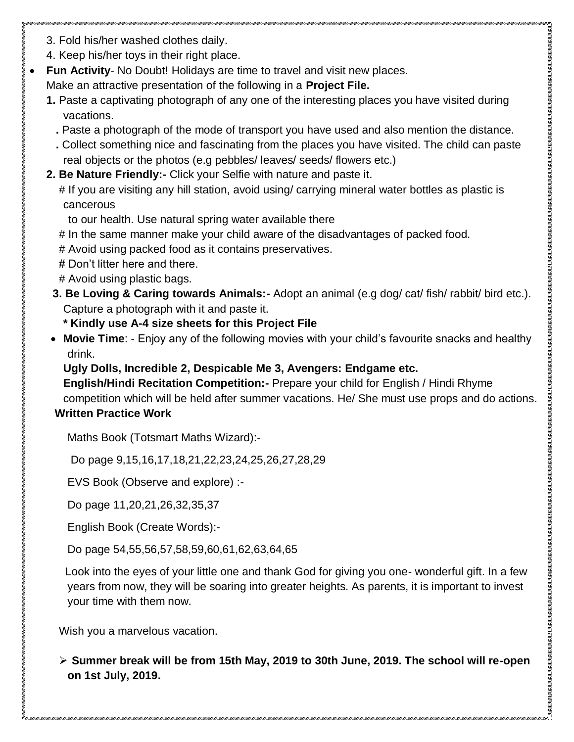- 3. Fold his/her washed clothes daily.
- 4. Keep his/her toys in their right place.
- **Fun Activity- No Doubt! Holidays are time to travel and visit new places.**

Make an attractive presentation of the following in a **Project File.**

- **1.** Paste a captivating photograph of any one of the interesting places you have visited during vacations.
	- **.** Paste a photograph of the mode of transport you have used and also mention the distance.
	- **.** Collect something nice and fascinating from the places you have visited. The child can paste real objects or the photos (e.g pebbles/ leaves/ seeds/ flowers etc.)
- **2. Be Nature Friendly:-** Click your Selfie with nature and paste it.

# If you are visiting any hill station, avoid using/ carrying mineral water bottles as plastic is cancerous

- to our health. Use natural spring water available there
- # In the same manner make your child aware of the disadvantages of packed food.
- # Avoid using packed food as it contains preservatives.
- # Don't litter here and there.
- # Avoid using plastic bags.
- **3. Be Loving & Caring towards Animals:-** Adopt an animal (e.g dog/ cat/ fish/ rabbit/ bird etc.). Capture a photograph with it and paste it.

**\* Kindly use A-4 size sheets for this Project File**

 **Movie Time**: - Enjoy any of the following movies with your child's favourite snacks and healthy drink.

**Ugly Dolls, Incredible 2, Despicable Me 3, Avengers: Endgame etc.**

**English/Hindi Recitation Competition:-** Prepare your child for English / Hindi Rhyme competition which will be held after summer vacations. He/ She must use props and do actions. **Written Practice Work**

Maths Book (Totsmart Maths Wizard):-

Do page 9,15,16,17,18,21,22,23,24,25,26,27,28,29

EVS Book (Observe and explore) :-

Do page 11,20,21,26,32,35,37

English Book (Create Words):-

Do page 54,55,56,57,58,59,60,61,62,63,64,65

 Look into the eyes of your little one and thank God for giving you one- wonderful gift. In a few years from now, they will be soaring into greater heights. As parents, it is important to invest your time with them now.

Wish you a marvelous vacation.

 **Summer break will be from 15th May, 2019 to 30th June, 2019. The school will re-open on 1st July, 2019.**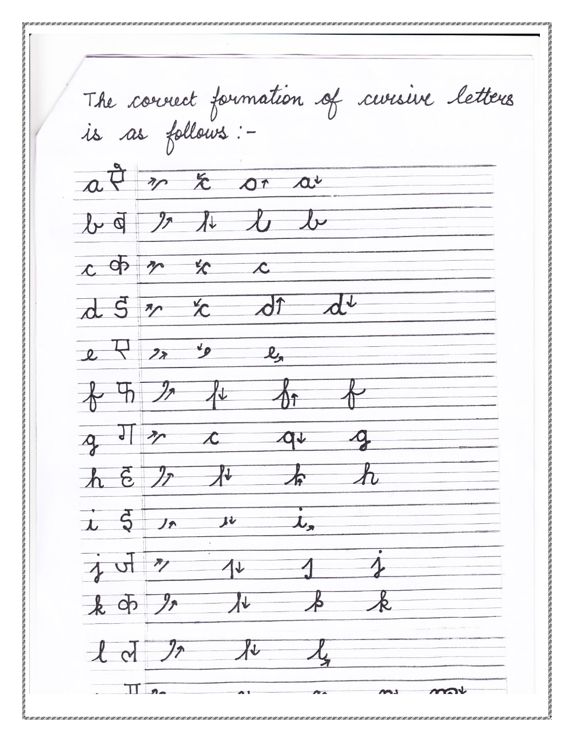The connect formation of cursive letters<br>is as follows: $a \overrightarrow{\theta}$   $\pi$  $a^{\iota}$  $\Lambda$  $\chi_{\downarrow}$  $\int \mathcal{V} \, d$  $\mathcal{Y}$  $l_{\mathcal{V}}$  $r$  of  $\chi$  $n_{\sim}$  $\overline{\mathscr{L}}$  $\overline{S}$  $\mathcal{F}_{\mathcal{P}}$  $\overline{2}$  $\mathcal{L}_{\bullet}$  $\bm{\mathcal{A}}$  $\mathcal{L}% _{0}=\mathcal{L}_{0}=\mathcal{L}_{0}=\mathcal{L}_{0}=\mathcal{L}_{0}=\mathcal{L}_{0}=\mathcal{L}_{0}=\mathcal{L}_{0}=\mathcal{L}_{0}=\mathcal{L}_{0}=\mathcal{L}_{0}=\mathcal{L}_{0}=\mathcal{L}_{0}=\mathcal{L}_{0}=\mathcal{L}_{0}=\mathcal{L}_{0}=\mathcal{L}_{0}=\mathcal{L}_{0}=\mathcal{L}_{0}=\mathcal{L}_{0}=\mathcal{L}_{0}=\mathcal{L}_{0}=\mathcal{L}_{0}=\mathcal{L}_{0}=\mathcal{L}_{0}=\mathcal{L}_{0}=\mathcal{L}_{0}=\math$  $\Omega$  $\vec{\epsilon}$  $\vec{\varsigma}$  $\mathbf{L}$  $11$  $J_{\mathcal{P}}$  $\mathcal{F}_{\mathcal{J}}$  $\frac{1}{2}$  $-\alpha$  $\bm{\tau}$ 

TERM CHARLER CHARLER CHARLER CHARLER CHARLER CHARLER CHARLER CHARLER CHARLER CHARLER CHARLER CHARLER CHARLER CHARLER CHARLER CHARLER